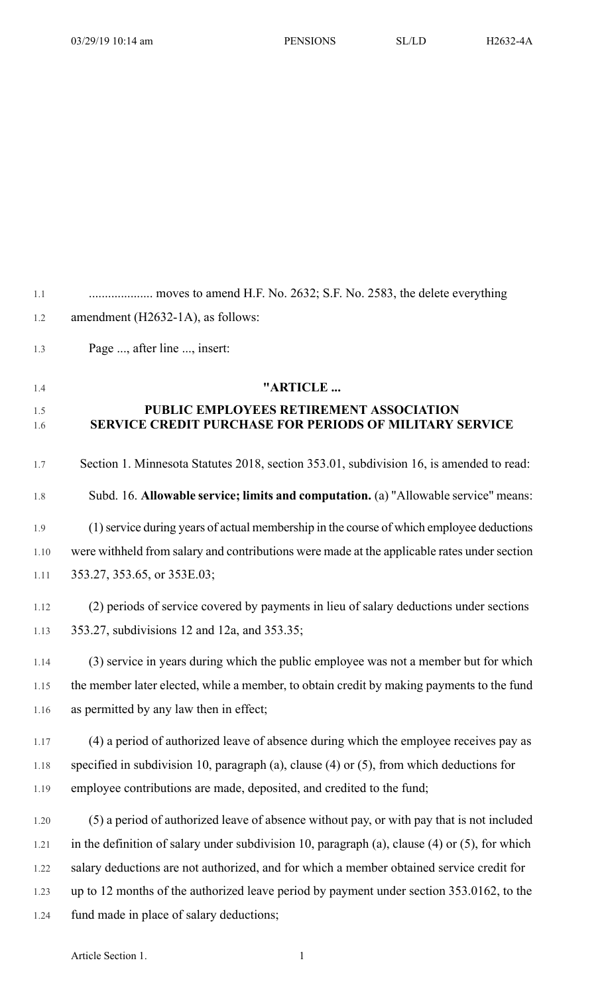| 1.1        |                                                                                                           |
|------------|-----------------------------------------------------------------------------------------------------------|
| 1.2        | amendment (H2632-1A), as follows:                                                                         |
| 1.3        | Page , after line , insert:                                                                               |
| 1.4        | "ARTICLE                                                                                                  |
| 1.5<br>1.6 | PUBLIC EMPLOYEES RETIREMENT ASSOCIATION<br><b>SERVICE CREDIT PURCHASE FOR PERIODS OF MILITARY SERVICE</b> |
| 1.7        | Section 1. Minnesota Statutes 2018, section 353.01, subdivision 16, is amended to read:                   |
| 1.8        | Subd. 16. Allowable service; limits and computation. (a) "Allowable service" means:                       |
| 1.9        | (1) service during years of actual membership in the course of which employee deductions                  |
| 1.10       | were withheld from salary and contributions were made at the applicable rates under section               |
| 1.11       | 353.27, 353.65, or 353E.03;                                                                               |
| 1.12       | (2) periods of service covered by payments in lieu of salary deductions under sections                    |
| 1.13       | 353.27, subdivisions 12 and 12a, and 353.35;                                                              |
| 1.14       | (3) service in years during which the public employee was not a member but for which                      |
| 1.15       | the member later elected, while a member, to obtain credit by making payments to the fund                 |
| 1.16       | as permitted by any law then in effect;                                                                   |
| 1.17       | (4) a period of authorized leave of absence during which the employee receives pay as                     |
| 1.18       | specified in subdivision 10, paragraph (a), clause $(4)$ or $(5)$ , from which deductions for             |
| 1.19       | employee contributions are made, deposited, and credited to the fund;                                     |
| 1.20       | (5) a period of authorized leave of absence without pay, or with pay that is not included                 |
| 1.21       | in the definition of salary under subdivision 10, paragraph (a), clause (4) or (5), for which             |
| 1.22       | salary deductions are not authorized, and for which a member obtained service credit for                  |
| 1.23       | up to 12 months of the authorized leave period by payment under section 353.0162, to the                  |
| 1.24       | fund made in place of salary deductions;                                                                  |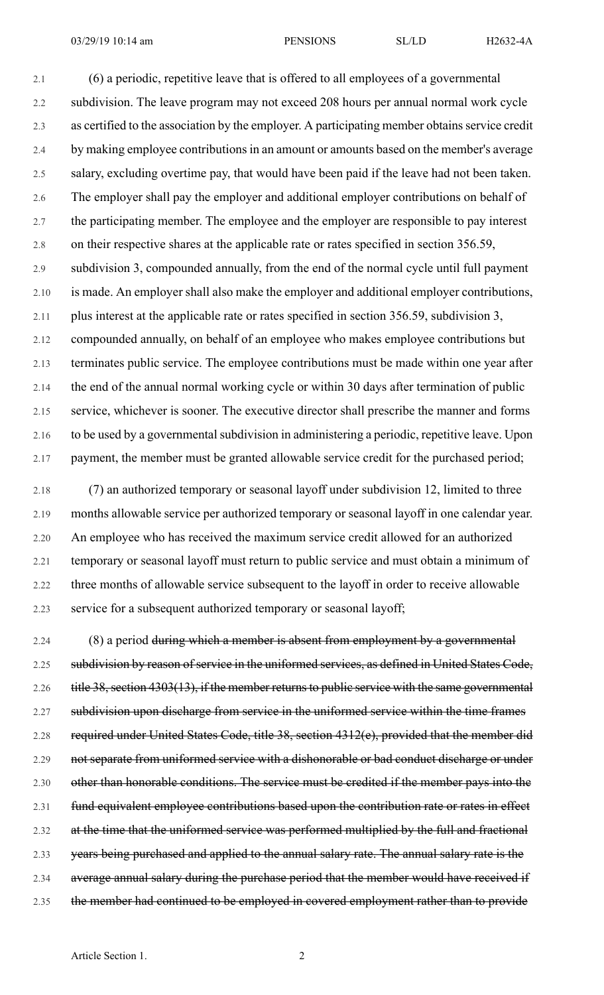2.1 (6) a periodic, repetitive leave that is offered to all employees of a governmental 2.2 subdivision. The leave program may not exceed 208 hours per annual normal work cycle 2.3 as certified to the association by the employer. A participating member obtains service credit 2.4 by making employee contributions in an amount or amounts based on the member's average 2.5 salary, excluding overtime pay, that would have been paid if the leave had not been taken. 2.6 The employer shall pay the employer and additional employer contributions on behalf of 2.7 the participating member. The employee and the employer are responsible to pay interest 2.8 on their respective shares at the applicable rate or rates specified in section 356.59, 2.9 subdivision 3, compounded annually, from the end of the normal cycle until full payment 2.10 is made. An employer shall also make the employer and additional employer contributions, 2.11 plus interest at the applicable rate or rates specified in section 356.59, subdivision 3, 2.12 compounded annually, on behalf of an employee who makes employee contributions but 2.13 terminates public service. The employee contributions must be made within one year after 2.14 the end of the annual normal working cycle or within 30 days after termination of public 2.15 service, whichever is sooner. The executive director shall prescribe the manner and forms 2.16 to be used by a governmental subdivision in administering a periodic, repetitive leave. Upon 2.17 payment, the member must be granted allowable service credit for the purchased period;

2.18 (7) an authorized temporary or seasonal layoff under subdivision 12, limited to three 2.19 months allowable service per authorized temporary or seasonal layoff in one calendar year. 2.20 An employee who has received the maximum service credit allowed for an authorized 2.21 temporary or seasonal layoff must return to public service and must obtain a minimum of 2.22 three months of allowable service subsequent to the layoff in order to receive allowable 2.23 service for a subsequent authorized temporary or seasonal layoff;

2.24 (8) a period during which a member is absent from employment by a governmental 2.25 subdivision by reason of service in the uniformed services, as defined in United States Code, 2.26 title 38, section 4303(13), if the member returns to public service with the same governmental 2.27 subdivision upon discharge from service in the uniformed service within the time frames 2.28 required under United States Code, title 38, section 4312(e), provided that the member did 2.29 not separate from uniformed service with a dishonorable or bad conduct discharge or under 2.30 other than honorable conditions. The service must be credited if the member pays into the 2.31 fund equivalent employee contributions based upon the contribution rate or rates in effect 2.32 at the time that the uniformed service was performed multiplied by the full and fractional 2.33 years being purchased and applied to the annual salary rate. The annual salary rate is the 2.34 average annual salary during the purchase period that the member would have received if 2.35 the member had continued to be employed in covered employment rather than to provide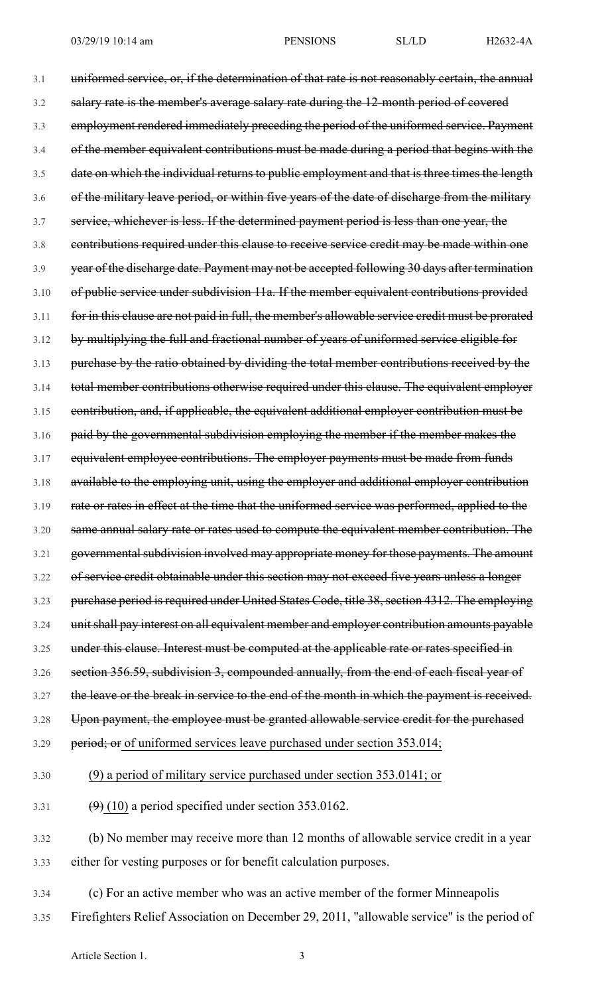3.1 uniformed service, or, if the determination of that rate is not reasonably certain, the annual 3.2 salary rate is the member's average salary rate during the 12-month period of covered 3.3 employment rendered immediately preceding the period of the uniformed service. Payment 3.4 of the member equivalent contributions must be made during a period that begins with the 3.5 date on which the individual returns to public employment and that is three times the length 3.6 of the military leave period, or within five years of the date of discharge from the military 3.7 service, whichever is less. If the determined payment period is less than one year, the 3.8 contributions required under this clause to receive service credit may be made within one 3.9 year of the discharge date. Payment may not be accepted following 30 days after termination 3.10 of public service under subdivision 11a. If the member equivalent contributions provided 3.11 for in this clause are not paid in full, the member's allowable service credit must be prorated 3.12 by multiplying the full and fractional number of years of uniformed service eligible for 3.13 purchase by the ratio obtained by dividing the total member contributions received by the 3.14 total member contributions otherwise required under this clause. The equivalent employer 3.15 contribution, and, if applicable, the equivalent additional employer contribution must be 3.16 paid by the governmental subdivision employing the member if the member makes the 3.17 equivalent employee contributions. The employer payments must be made from funds 3.18 available to the employing unit, using the employer and additional employer contribution 3.19 rate or rates in effect at the time that the uniformed service was performed, applied to the 3.20 same annual salary rate or rates used to compute the equivalent member contribution. The 3.21 governmental subdivision involved may appropriate money for those payments. The amount 3.22 of service credit obtainable under this section may not exceed five years unless a longer 3.23 purchase period is required under United States Code, title 38, section 4312. The employing 3.24 unit shall pay interest on all equivalent member and employer contribution amounts payable 3.25 under this clause. Interest must be computed at the applicable rate or rates specified in 3.26 section 356.59, subdivision 3, compounded annually, from the end of each fiscal year of 3.27 the leave or the break in service to the end of the month in which the payment is received. 3.28 Upon payment, the employee must be granted allowable service credit for the purchased 3.29 period; or of uniformed services leave purchased under section 353.014; 3.30 (9) a period of military service purchased under section 353.0141; or 3.31  $(9)(10)$  a period specified under section 353.0162.

3.32 (b) No member may receive more than 12 months of allowable service credit in a year 3.33 either for vesting purposes or for benefit calculation purposes.

3.34 (c) For an active member who was an active member of the former Minneapolis 3.35 Firefighters Relief Association on December 29, 2011, "allowable service" is the period of

Article Section 1. 3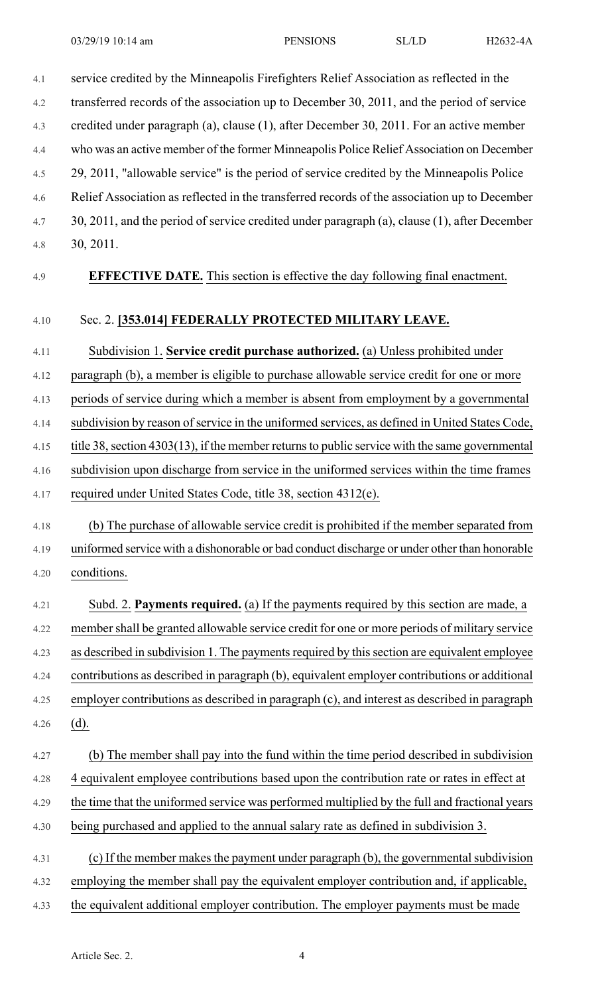| 4.1  | service credited by the Minneapolis Firefighters Relief Association as reflected in the        |
|------|------------------------------------------------------------------------------------------------|
| 4.2  | transferred records of the association up to December 30, 2011, and the period of service      |
| 4.3  | credited under paragraph (a), clause (1), after December 30, 2011. For an active member        |
| 4.4  | who was an active member of the former Minneapolis Police Relief Association on December       |
| 4.5  | 29, 2011, "allowable service" is the period of service credited by the Minneapolis Police      |
| 4.6  | Relief Association as reflected in the transferred records of the association up to December   |
| 4.7  | 30, 2011, and the period of service credited under paragraph (a), clause (1), after December   |
| 4.8  | 30, 2011.                                                                                      |
| 4.9  | <b>EFFECTIVE DATE.</b> This section is effective the day following final enactment.            |
| 4.10 | Sec. 2. [353.014] FEDERALLY PROTECTED MILITARY LEAVE.                                          |
| 4.11 | Subdivision 1. Service credit purchase authorized. (a) Unless prohibited under                 |
| 4.12 | paragraph (b), a member is eligible to purchase allowable service credit for one or more       |
| 4.13 | periods of service during which a member is absent from employment by a governmental           |
| 4.14 | subdivision by reason of service in the uniformed services, as defined in United States Code,  |
| 4.15 | title 38, section 4303(13), if the member returns to public service with the same governmental |
| 4.16 | subdivision upon discharge from service in the uniformed services within the time frames       |
| 4.17 | required under United States Code, title 38, section 4312(e).                                  |
| 4.18 | (b) The purchase of allowable service credit is prohibited if the member separated from        |
| 4.19 | uniformed service with a dishonorable or bad conduct discharge or under other than honorable   |
| 4.20 | conditions.                                                                                    |
| 4.21 | Subd. 2. Payments required. (a) If the payments required by this section are made, a           |
| 4.22 | member shall be granted allowable service credit for one or more periods of military service   |
| 4.23 | as described in subdivision 1. The payments required by this section are equivalent employee   |
| 4.24 | contributions as described in paragraph (b), equivalent employer contributions or additional   |
| 4.25 | employer contributions as described in paragraph (c), and interest as described in paragraph   |
| 4.26 | $(d)$ .                                                                                        |
| 4.27 | (b) The member shall pay into the fund within the time period described in subdivision         |
| 4.28 | 4 equivalent employee contributions based upon the contribution rate or rates in effect at     |
| 4.29 | the time that the uniformed service was performed multiplied by the full and fractional years  |
| 4.30 | being purchased and applied to the annual salary rate as defined in subdivision 3.             |
| 4.31 | (c) If the member makes the payment under paragraph (b), the governmental subdivision          |
| 4.32 | employing the member shall pay the equivalent employer contribution and, if applicable,        |
| 4.33 | the equivalent additional employer contribution. The employer payments must be made            |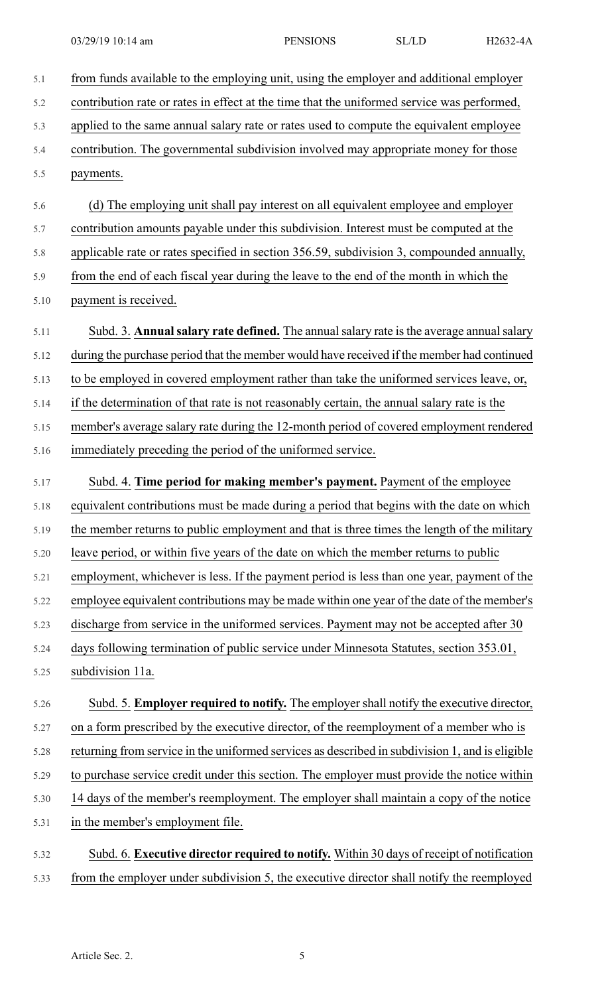| 5.1  | from funds available to the employing unit, using the employer and additional employer          |
|------|-------------------------------------------------------------------------------------------------|
| 5.2  | contribution rate or rates in effect at the time that the uniformed service was performed,      |
| 5.3  | applied to the same annual salary rate or rates used to compute the equivalent employee         |
| 5.4  | contribution. The governmental subdivision involved may appropriate money for those             |
| 5.5  | payments.                                                                                       |
| 5.6  | (d) The employing unit shall pay interest on all equivalent employee and employer               |
| 5.7  | contribution amounts payable under this subdivision. Interest must be computed at the           |
| 5.8  | applicable rate or rates specified in section 356.59, subdivision 3, compounded annually,       |
| 5.9  | from the end of each fiscal year during the leave to the end of the month in which the          |
| 5.10 | payment is received.                                                                            |
| 5.11 | Subd. 3. Annual salary rate defined. The annual salary rate is the average annual salary        |
| 5.12 | during the purchase period that the member would have received if the member had continued      |
| 5.13 | to be employed in covered employment rather than take the uniformed services leave, or,         |
| 5.14 | if the determination of that rate is not reasonably certain, the annual salary rate is the      |
| 5.15 | member's average salary rate during the 12-month period of covered employment rendered          |
| 5.16 | immediately preceding the period of the uniformed service.                                      |
| 5.17 | Subd. 4. Time period for making member's payment. Payment of the employee                       |
| 5.18 | equivalent contributions must be made during a period that begins with the date on which        |
| 5.19 | the member returns to public employment and that is three times the length of the military      |
| 5.20 | leave period, or within five years of the date on which the member returns to public            |
| 5.21 | employment, whichever is less. If the payment period is less than one year, payment of the      |
| 5.22 | employee equivalent contributions may be made within one year of the date of the member's       |
| 5.23 | discharge from service in the uniformed services. Payment may not be accepted after 30          |
| 5.24 | days following termination of public service under Minnesota Statutes, section 353.01,          |
| 5.25 | subdivision 11a.                                                                                |
| 5.26 | Subd. 5. Employer required to notify. The employer shall notify the executive director,         |
| 5.27 | on a form prescribed by the executive director, of the reemployment of a member who is          |
| 5.28 | returning from service in the uniformed services as described in subdivision 1, and is eligible |
| 5.29 | to purchase service credit under this section. The employer must provide the notice within      |
| 5.30 | 14 days of the member's reemployment. The employer shall maintain a copy of the notice          |
| 5.31 | in the member's employment file.                                                                |
| 5.32 | Subd. 6. Executive director required to notify. Within 30 days of receipt of notification       |
| 5.33 | from the employer under subdivision 5, the executive director shall notify the reemployed       |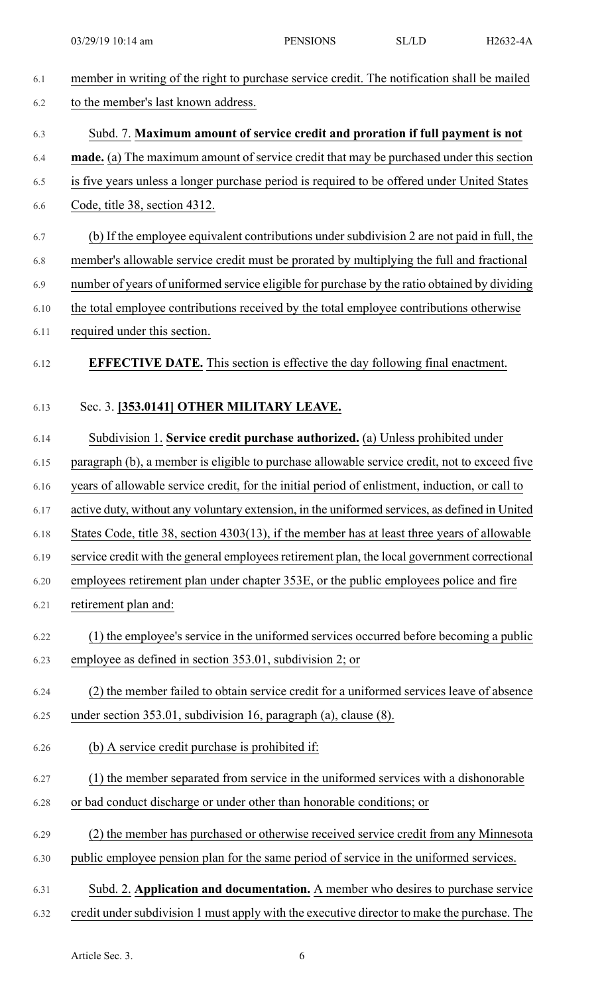| 6.1  | member in writing of the right to purchase service credit. The notification shall be mailed    |
|------|------------------------------------------------------------------------------------------------|
| 6.2  | to the member's last known address.                                                            |
| 6.3  | Subd. 7. Maximum amount of service credit and proration if full payment is not                 |
| 6.4  | <b>made.</b> (a) The maximum amount of service credit that may be purchased under this section |
| 6.5  | is five years unless a longer purchase period is required to be offered under United States    |
| 6.6  | Code, title 38, section 4312.                                                                  |
| 6.7  | (b) If the employee equivalent contributions under subdivision 2 are not paid in full, the     |
| 6.8  | member's allowable service credit must be prorated by multiplying the full and fractional      |
| 6.9  | number of years of uniformed service eligible for purchase by the ratio obtained by dividing   |
| 6.10 | the total employee contributions received by the total employee contributions otherwise        |
| 6.11 | required under this section.                                                                   |
| 6.12 | <b>EFFECTIVE DATE.</b> This section is effective the day following final enactment.            |
| 6.13 | Sec. 3. [353.0141] OTHER MILITARY LEAVE.                                                       |
| 6.14 | Subdivision 1. Service credit purchase authorized. (a) Unless prohibited under                 |
| 6.15 | paragraph (b), a member is eligible to purchase allowable service credit, not to exceed five   |
| 6.16 | years of allowable service credit, for the initial period of enlistment, induction, or call to |
| 6.17 | active duty, without any voluntary extension, in the uniformed services, as defined in United  |
| 6.18 | States Code, title 38, section 4303(13), if the member has at least three years of allowable   |
| 6.19 | service credit with the general employees retirement plan, the local government correctional   |
| 6.20 | employees retirement plan under chapter 353E, or the public employees police and fire          |
| 6.21 | retirement plan and:                                                                           |
| 6.22 | (1) the employee's service in the uniformed services occurred before becoming a public         |
| 6.23 | employee as defined in section 353.01, subdivision 2; or                                       |
| 6.24 | (2) the member failed to obtain service credit for a uniformed services leave of absence       |
| 6.25 | under section 353.01, subdivision 16, paragraph (a), clause (8).                               |
| 6.26 | (b) A service credit purchase is prohibited if:                                                |
| 6.27 | (1) the member separated from service in the uniformed services with a dishonorable            |
| 6.28 | or bad conduct discharge or under other than honorable conditions; or                          |
| 6.29 | (2) the member has purchased or otherwise received service credit from any Minnesota           |
| 6.30 | public employee pension plan for the same period of service in the uniformed services.         |
| 6.31 | Subd. 2. Application and documentation. A member who desires to purchase service               |
| 6.32 | credit under subdivision 1 must apply with the executive director to make the purchase. The    |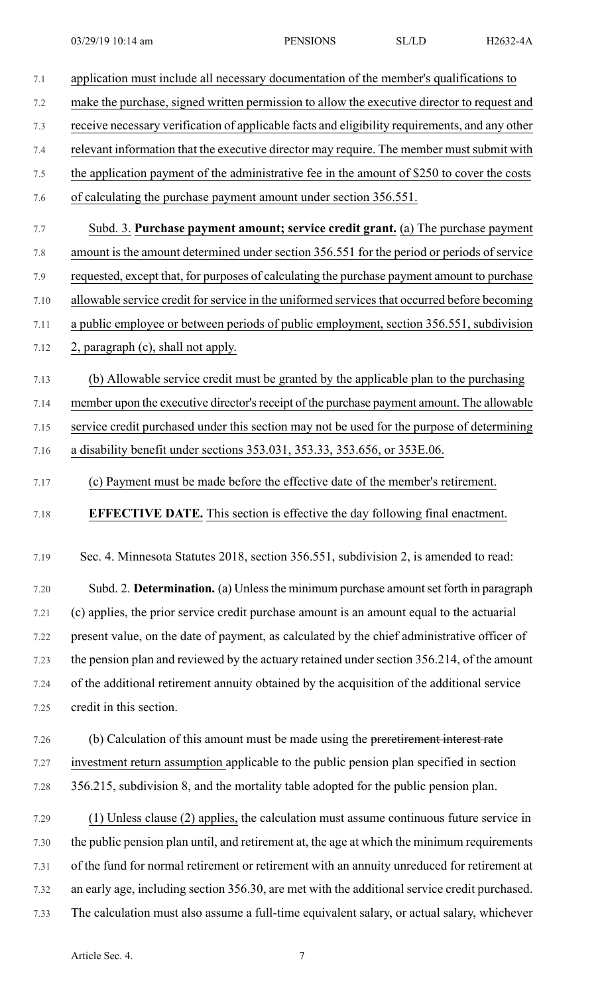| 7.1          | application must include all necessary documentation of the member's qualifications to                                                                                                       |
|--------------|----------------------------------------------------------------------------------------------------------------------------------------------------------------------------------------------|
| 7.2          | make the purchase, signed written permission to allow the executive director to request and                                                                                                  |
| 7.3          | receive necessary verification of applicable facts and eligibility requirements, and any other                                                                                               |
| 7.4          | relevant information that the executive director may require. The member must submit with                                                                                                    |
| 7.5          | the application payment of the administrative fee in the amount of \$250 to cover the costs                                                                                                  |
| 7.6          | of calculating the purchase payment amount under section 356.551.                                                                                                                            |
| 7.7          | Subd. 3. Purchase payment amount; service credit grant. (a) The purchase payment                                                                                                             |
| 7.8          | amount is the amount determined under section 356.551 for the period or periods of service                                                                                                   |
| 7.9          | requested, except that, for purposes of calculating the purchase payment amount to purchase                                                                                                  |
| 7.10         | allowable service credit for service in the uniformed services that occurred before becoming                                                                                                 |
| 7.11         | a public employee or between periods of public employment, section 356.551, subdivision                                                                                                      |
| 7.12         | 2, paragraph (c), shall not apply.                                                                                                                                                           |
|              |                                                                                                                                                                                              |
| 7.13         | (b) Allowable service credit must be granted by the applicable plan to the purchasing                                                                                                        |
| 7.14         | member upon the executive director's receipt of the purchase payment amount. The allowable                                                                                                   |
| 7.15         | service credit purchased under this section may not be used for the purpose of determining                                                                                                   |
| 7.16         | a disability benefit under sections 353.031, 353.33, 353.656, or 353E.06.                                                                                                                    |
| 7.17         | (c) Payment must be made before the effective date of the member's retirement.                                                                                                               |
| 7.18         | <b>EFFECTIVE DATE.</b> This section is effective the day following final enactment.                                                                                                          |
| 7.19         | Sec. 4. Minnesota Statutes 2018, section 356.551, subdivision 2, is amended to read:                                                                                                         |
| 7.20         | Subd. 2. Determination. (a) Unless the minimum purchase amount set forth in paragraph                                                                                                        |
| 7.21         | (c) applies, the prior service credit purchase amount is an amount equal to the actuarial                                                                                                    |
| 7.22         | present value, on the date of payment, as calculated by the chief administrative officer of                                                                                                  |
| 7.23         | the pension plan and reviewed by the actuary retained under section 356.214, of the amount                                                                                                   |
| 7.24         | of the additional retirement annuity obtained by the acquisition of the additional service                                                                                                   |
| 7.25         | credit in this section.                                                                                                                                                                      |
| 7.26         | (b) Calculation of this amount must be made using the preretirement interest rate                                                                                                            |
| 7.27         | investment return assumption applicable to the public pension plan specified in section                                                                                                      |
| 7.28         | 356.215, subdivision 8, and the mortality table adopted for the public pension plan.                                                                                                         |
| 7.29         | (1) Unless clause (2) applies, the calculation must assume continuous future service in                                                                                                      |
| 7.30         | the public pension plan until, and retirement at, the age at which the minimum requirements                                                                                                  |
| 7.31         |                                                                                                                                                                                              |
|              |                                                                                                                                                                                              |
|              | of the fund for normal retirement or retirement with an annuity unreduced for retirement at                                                                                                  |
| 7.32<br>7.33 | an early age, including section 356.30, are met with the additional service credit purchased.<br>The calculation must also assume a full-time equivalent salary, or actual salary, whichever |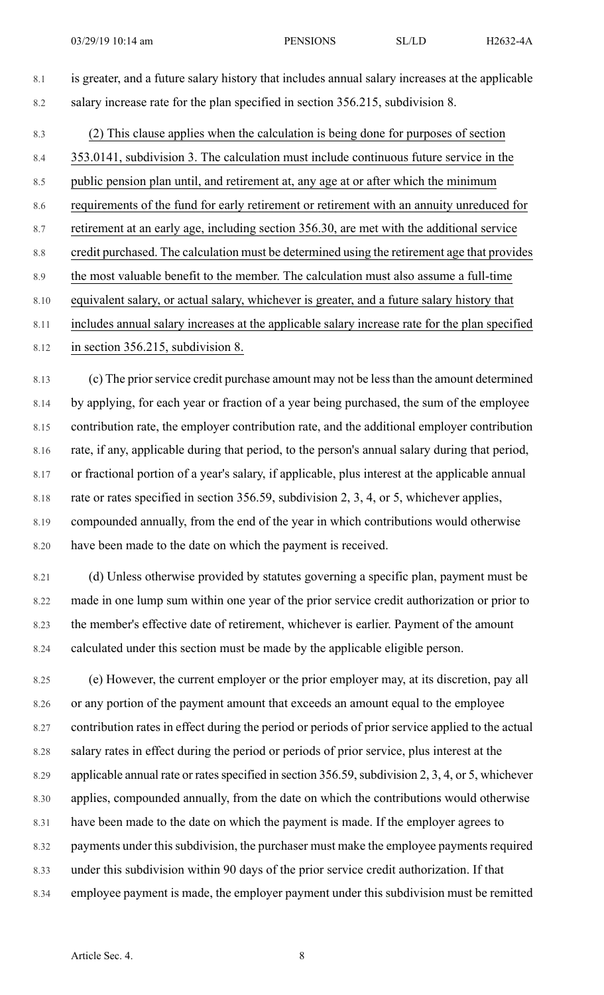- 8.1 is greater, and a future salary history that includes annual salary increases at the applicable 8.2 salary increase rate for the plan specified in section 356.215, subdivision 8.
- 8.3 (2) This clause applies when the calculation is being done for purposes of section

8.4 353.0141, subdivision 3. The calculation must include continuous future service in the

8.5 public pension plan until, and retirement at, any age at or after which the minimum

8.6 requirements of the fund for early retirement or retirement with an annuity unreduced for

8.7 retirement at an early age, including section 356.30, are met with the additional service

8.8 credit purchased. The calculation must be determined using the retirement age that provides

- 8.9 the most valuable benefit to the member. The calculation must also assume a full-time
- 8.10 equivalent salary, or actual salary, whichever is greater, and a future salary history that
- 8.11 includes annual salary increases at the applicable salary increase rate for the plan specified

8.12 in section 356.215, subdivision 8.

8.13 (c) The prior service credit purchase amount may not be less than the amount determined 8.14 by applying, for each year or fraction of a year being purchased, the sum of the employee 8.15 contribution rate, the employer contribution rate, and the additional employer contribution 8.16 rate, if any, applicable during that period, to the person's annual salary during that period, 8.17 or fractional portion of a year's salary, if applicable, plus interest at the applicable annual 8.18 rate or rates specified in section 356.59, subdivision 2, 3, 4, or 5, whichever applies, 8.19 compounded annually, from the end of the year in which contributions would otherwise 8.20 have been made to the date on which the payment is received.

8.21 (d) Unless otherwise provided by statutes governing a specific plan, payment must be 8.22 made in one lump sum within one year of the prior service credit authorization or prior to 8.23 the member's effective date of retirement, whichever is earlier. Payment of the amount 8.24 calculated under this section must be made by the applicable eligible person.

8.25 (e) However, the current employer or the prior employer may, at its discretion, pay all 8.26 or any portion of the payment amount that exceeds an amount equal to the employee 8.27 contribution rates in effect during the period or periods of prior service applied to the actual 8.28 salary rates in effect during the period or periods of prior service, plus interest at the 8.29 applicable annual rate or rates specified in section 356.59, subdivision 2, 3, 4, or 5, whichever 8.30 applies, compounded annually, from the date on which the contributions would otherwise 8.31 have been made to the date on which the payment is made. If the employer agrees to 8.32 payments under this subdivision, the purchaser must make the employee payments required 8.33 under this subdivision within 90 days of the prior service credit authorization. If that 8.34 employee payment is made, the employer payment under this subdivision must be remitted